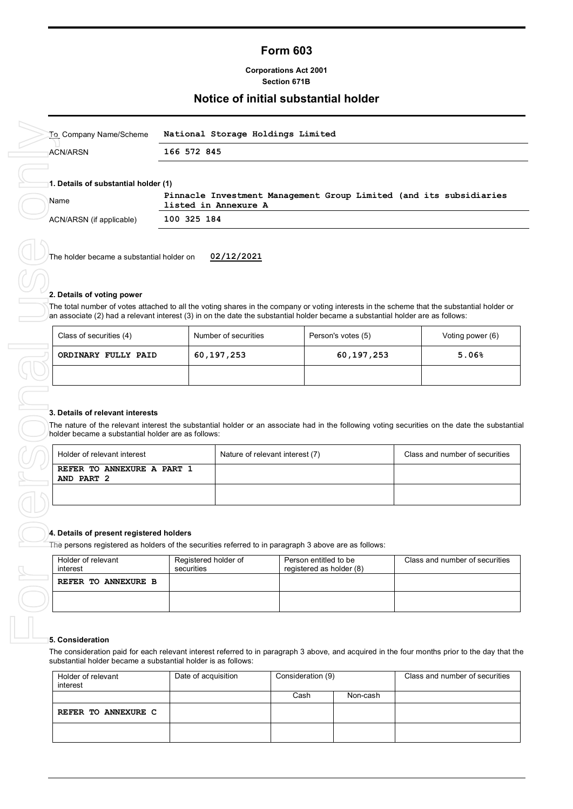## **Form 603**

#### **Corporations Act 2001 Section 671B**

## **Notice of initial substantial holder**

| To Company Name/Scheme                       | National Storage Holdings Limited                                                          |  |  |  |
|----------------------------------------------|--------------------------------------------------------------------------------------------|--|--|--|
| ⊤ACN/ARSN                                    | 166 572 845                                                                                |  |  |  |
| 1. Details of substantial holder (1)<br>Name | Pinnacle Investment Management Group Limited (and its subsidiaries<br>listed in Annexure A |  |  |  |
| ACN/ARSN (if applicable)                     | 100 325 184                                                                                |  |  |  |
|                                              |                                                                                            |  |  |  |

The holder became a substantial holder on **02/12/2021**

#### **2. Details of voting power**

The total number of votes attached to all the voting shares in the company or voting interests in the scheme that the substantial holder or an associate (2) had a relevant interest (3) in on the date the substantial holder became a substantial holder are as follows:

| Class of securities (4) | Number of securities | Person's votes (5) | Voting power (6) |
|-------------------------|----------------------|--------------------|------------------|
| ORDINARY FULLY PAID     | 60,197,253           | 60,197,253         | 5.06%            |
|                         |                      |                    |                  |

#### **3. Details of relevant interests**

The nature of the relevant interest the substantial holder or an associate had in the following voting securities on the date the substantial holder became a substantial holder are as follows:

| Holder of relevant interest              | Nature of relevant interest (7) | Class and number of securities |
|------------------------------------------|---------------------------------|--------------------------------|
| REFER TO ANNEXURE A PART 1<br>AND PART 2 |                                 |                                |
|                                          |                                 |                                |

#### **4. Details of present registered holders**

The persons registered as holders of the securities referred to in paragraph 3 above are as follows:

| Holder of relevant<br>interest | Registered holder of<br>securities | Person entitled to be<br>registered as holder (8) | Class and number of securities |
|--------------------------------|------------------------------------|---------------------------------------------------|--------------------------------|
| REFER TO ANNEXURE B            |                                    |                                                   |                                |
|                                |                                    |                                                   |                                |

#### **5. Consideration**

The consideration paid for each relevant interest referred to in paragraph 3 above, and acquired in the four months prior to the day that the substantial holder became a substantial holder is as follows:

| Holder of relevant<br>interest | Date of acquisition | Consideration (9) |          | Class and number of securities |
|--------------------------------|---------------------|-------------------|----------|--------------------------------|
|                                |                     | Cash              | Non-cash |                                |
| REFER TO ANNEXURE C            |                     |                   |          |                                |
|                                |                     |                   |          |                                |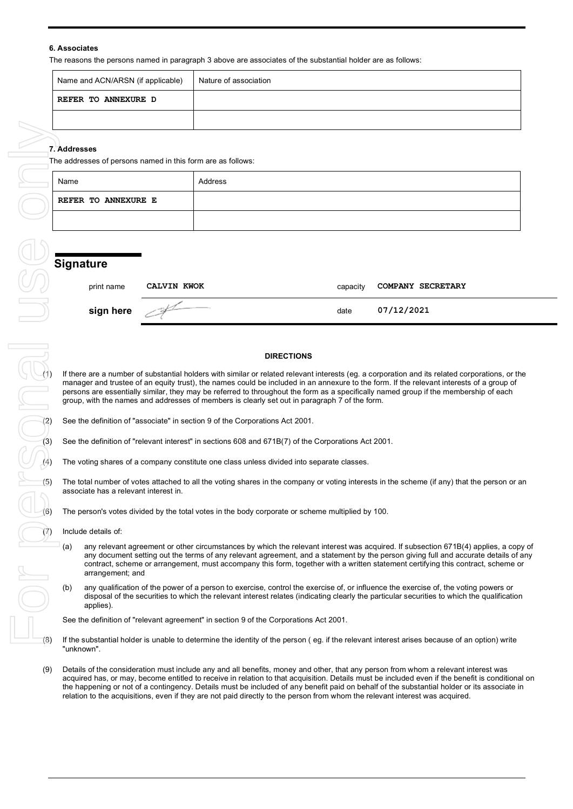### **6. Associates**

The reasons the persons named in paragraph 3 above are associates of the substantial holder are as follows:

| Name and ACN/ARSN (if applicable) | Nature of association |
|-----------------------------------|-----------------------|
| REFER TO ANNEXURE D               |                       |
|                                   |                       |

The addresses of persons named in this form are as follows:

| Name                       | Address |
|----------------------------|---------|
| <b>REFER TO ANNEXURE E</b> |         |
|                            |         |

# **Signature**

| print name | CALVIN KWOK | capacity | <b>COMPANY SECRETARY</b> |
|------------|-------------|----------|--------------------------|
| sign here  |             | date     | 07/12/2021               |

#### **DIRECTIONS**

**DIRECTIONS**<br>If there are a number of substantial holders with similar or related relevant interests (eg. a corporation and its related corporations, or the<br>manager and trustee of an equity trust), the names could be inclu manager and trustee of an equity trust), the names could be included in an annexure to the form. If the relevant interests of a group of persons are essentially similar, they may be referred to throughout the form as a specifically named group if the membership of each group, with the names and addresses of members is clearly set out in paragraph 7 of the form.

See the definition of "relevant interest" in sections 608 and 671B(7) of the Corporations Act 2001.

The voting shares of a company constitute one class unless divided into separate classes.

The total number of votes attached to all the voting shares in the company or voting interests in the scheme (if any) that the person or an associate has a relevant interest in.

 $\bigcup$  (6) The person's votes divided by the total votes in the body corporate or scheme multiplied by 100.

Include details of:

- (a) any relevant agreement or other circumstances by which the relevant interest was acquired. If subsection 671B(4) applies, a copy of any document setting out the terms of any relevant agreement, and a statement by the person giving full and accurate details of any contract, scheme or arrangement, must accompany this form, together with a written statement certifying this contract, scheme or arrangement; and
- (b) any qualification of the power of a person to exercise, control the exercise of, or influence the exercise of, the voting powers or disposal of the securities to which the relevant interest relates (indicating clearly the particular securities to which the qualification applies).

See the definition of "relevant agreement" in section 9 of the Corporations Act 2001.

- If the substantial holder is unable to determine the identity of the person (eg. if the relevant interest arises because of an option) write "unknown".
- (9) Details of the consideration must include any and all benefits, money and other, that any person from whom a relevant interest was acquired has, or may, become entitled to receive in relation to that acquisition. Details must be included even if the benefit is conditional on the happening or not of a contingency. Details must be included of any benefit paid on behalf of the substantial holder or its associate in relation to the acquisitions, even if they are not paid directly to the person from whom the relevant interest was acquired.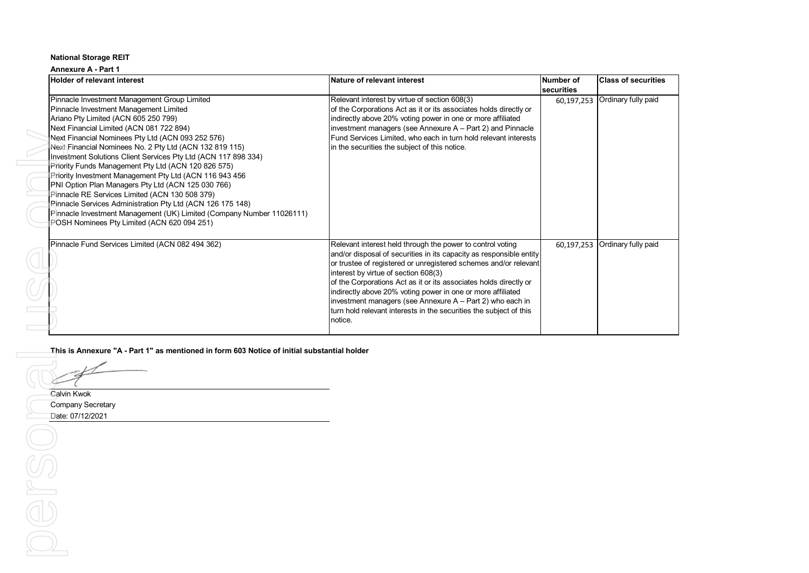# **Annexure A - Part 1**

|                                                                                                                      | Nature of relevant interest                                                                                                      | <b>Number of</b> | <b>Class of securities</b> |
|----------------------------------------------------------------------------------------------------------------------|----------------------------------------------------------------------------------------------------------------------------------|------------------|----------------------------|
| Pinnacle Investment Management Group Limited                                                                         | Relevant interest by virtue of section 608(3)                                                                                    | securities       | Ordinary fully paid        |
| Pinnacle Investment Management Limited                                                                               | of the Corporations Act as it or its associates holds directly or                                                                | 60,197,253       |                            |
| Ariano Pty Limited (ACN 605 250 799)                                                                                 | indirectly above 20% voting power in one or more affiliated                                                                      |                  |                            |
| Next Financial Limited (ACN 081 722 894)                                                                             | investment managers (see Annexure A - Part 2) and Pinnacle                                                                       |                  |                            |
| Next Financial Nominees Pty Ltd (ACN 093 252 576)                                                                    | Fund Services Limited, who each in turn hold relevant interests                                                                  |                  |                            |
| Next Financial Nominees No. 2 Pty Ltd (ACN 132 819 115)                                                              | in the securities the subject of this notice.                                                                                    |                  |                            |
| Investment Solutions Client Services Pty Ltd (ACN 117 898 334)                                                       |                                                                                                                                  |                  |                            |
| Priority Funds Management Pty Ltd (ACN 120 826 575)                                                                  |                                                                                                                                  |                  |                            |
| Priority Investment Management Pty Ltd (ACN 116 943 456                                                              |                                                                                                                                  |                  |                            |
| PNI Option Plan Managers Pty Ltd (ACN 125 030 766)                                                                   |                                                                                                                                  |                  |                            |
| Pinnacle RE Services Limited (ACN 130 508 379)                                                                       |                                                                                                                                  |                  |                            |
| Pinnacle Services Administration Pty Ltd (ACN 126 175 148)                                                           |                                                                                                                                  |                  |                            |
| Pinnacle Investment Management (UK) Limited (Company Number 11026111)<br>POSH Nominees Pty Limited (ACN 620 094 251) |                                                                                                                                  |                  |                            |
|                                                                                                                      |                                                                                                                                  |                  |                            |
| Pinnacle Fund Services Limited (ACN 082 494 362)                                                                     | Relevant interest held through the power to control voting                                                                       | 60,197,253       | Ordinary fully paid        |
|                                                                                                                      | and/or disposal of securities in its capacity as responsible entity                                                              |                  |                            |
|                                                                                                                      | or trustee of registered or unregistered schemes and/or relevant                                                                 |                  |                            |
|                                                                                                                      | interest by virtue of section 608(3)                                                                                             |                  |                            |
|                                                                                                                      | of the Corporations Act as it or its associates holds directly or<br>indirectly above 20% voting power in one or more affiliated |                  |                            |
|                                                                                                                      | investment managers (see Annexure A - Part 2) who each in                                                                        |                  |                            |
|                                                                                                                      |                                                                                                                                  |                  |                            |
|                                                                                                                      |                                                                                                                                  |                  |                            |
| This is Annexure "A - Part 1" as mentioned in form 603 Notice of initial substantial holder                          | turn hold relevant interests in the securities the subject of this<br>notice.                                                    |                  |                            |
| Calvin Kwok                                                                                                          |                                                                                                                                  |                  |                            |
| <b>Company Secretary</b>                                                                                             |                                                                                                                                  |                  |                            |
| Date: 07/12/2021                                                                                                     |                                                                                                                                  |                  |                            |
|                                                                                                                      |                                                                                                                                  |                  |                            |
|                                                                                                                      |                                                                                                                                  |                  |                            |
|                                                                                                                      |                                                                                                                                  |                  |                            |
|                                                                                                                      |                                                                                                                                  |                  |                            |
|                                                                                                                      |                                                                                                                                  |                  |                            |
|                                                                                                                      |                                                                                                                                  |                  |                            |
|                                                                                                                      |                                                                                                                                  |                  |                            |
| $\bigcirc$                                                                                                           |                                                                                                                                  |                  |                            |
|                                                                                                                      |                                                                                                                                  |                  |                            |
|                                                                                                                      |                                                                                                                                  |                  |                            |
|                                                                                                                      |                                                                                                                                  |                  |                            |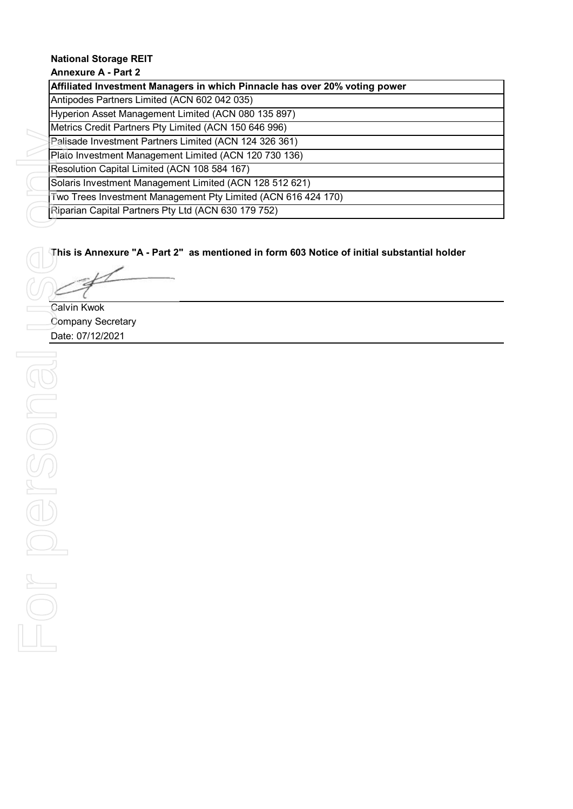## **Annexure A - Part 2**

**Affiliated Investment Managers in which Pinnacle has over 20% voting power**

Antipodes Partners Limited (ACN 602 042 035)

Hyperion Asset Management Limited (ACN 080 135 897)

Metrics Credit Partners Pty Limited (ACN 150 646 996)

Palisade Investment Partners Limited (ACN 124 326 361) Plato Investment Management Limited (ACN 120 730 136)

Resolution Capital Limited (ACN 108 584 167)

Solaris Investment Management Limited (ACN 128 512 621)

Two Trees Investment Management Pty Limited (ACN 616 424 170)

Riparian Capital Partners Pty Ltd (ACN 630 179 752)

# **This is Annexure "A - Part 2" as mentioned in form 603 Notice of initial substantial holder**

Calvin Kwok Company Secretary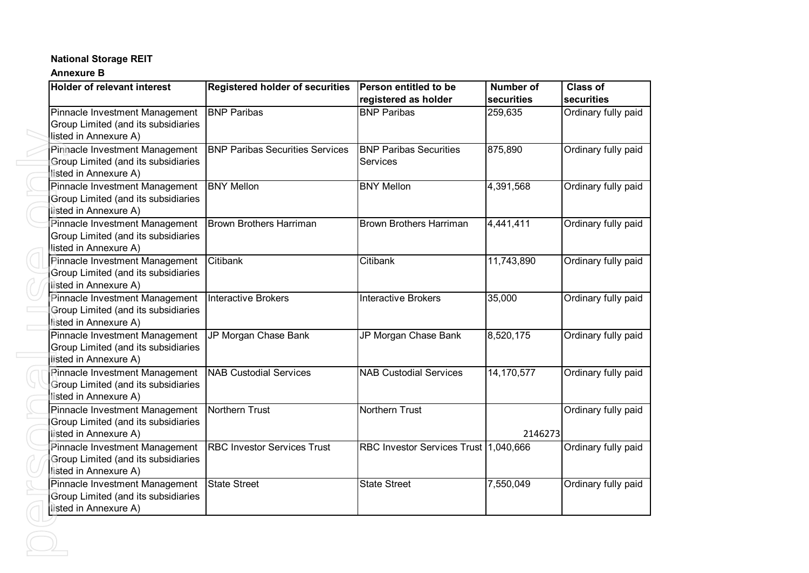# **Annexure B**

| <b>Holder of relevant interest</b>                                                             | <b>Registered holder of securities</b> | Person entitled to be<br>registered as holder | <b>Number of</b><br>securities | <b>Class of</b><br>securities |
|------------------------------------------------------------------------------------------------|----------------------------------------|-----------------------------------------------|--------------------------------|-------------------------------|
| Pinnacle Investment Management<br>Group Limited (and its subsidiaries<br>listed in Annexure A) | <b>BNP Paribas</b>                     | <b>BNP Paribas</b>                            | 259,635                        | Ordinary fully paid           |
| Pinnacle Investment Management<br>Group Limited (and its subsidiaries<br>listed in Annexure A) | <b>BNP Paribas Securities Services</b> | <b>BNP Paribas Securities</b><br>Services     | 875,890                        | Ordinary fully paid           |
| Pinnacle Investment Management<br>Group Limited (and its subsidiaries<br>listed in Annexure A) | <b>BNY Mellon</b>                      | <b>BNY Mellon</b>                             | 4,391,568                      | Ordinary fully paid           |
| Pinnacle Investment Management<br>Group Limited (and its subsidiaries<br>listed in Annexure A) | <b>Brown Brothers Harriman</b>         | <b>Brown Brothers Harriman</b>                | 4,441,411                      | Ordinary fully paid           |
| Pinnacle Investment Management<br>Group Limited (and its subsidiaries<br>listed in Annexure A) | Citibank                               | Citibank                                      | 11,743,890                     | Ordinary fully paid           |
| Pinnacle Investment Management<br>Group Limited (and its subsidiaries<br>listed in Annexure A) | <b>Interactive Brokers</b>             | <b>Interactive Brokers</b>                    | 35,000                         | Ordinary fully paid           |
| Pinnacle Investment Management<br>Group Limited (and its subsidiaries<br>listed in Annexure A) | JP Morgan Chase Bank                   | JP Morgan Chase Bank                          | 8,520,175                      | Ordinary fully paid           |
| Pinnacle Investment Management<br>Group Limited (and its subsidiaries<br>listed in Annexure A) | <b>NAB Custodial Services</b>          | <b>NAB Custodial Services</b>                 | 14,170,577                     | Ordinary fully paid           |
| Pinnacle Investment Management<br>Group Limited (and its subsidiaries<br>listed in Annexure A) | Northern Trust                         | Northern Trust                                | 2146273                        | Ordinary fully paid           |
| Pinnacle Investment Management<br>Group Limited (and its subsidiaries<br>listed in Annexure A) | <b>RBC Investor Services Trust</b>     | RBC Investor Services Trust 1,040,666         |                                | Ordinary fully paid           |
| Pinnacle Investment Management<br>Group Limited (and its subsidiaries<br>listed in Annexure A) | State Street                           | <b>State Street</b>                           | 7,550,049                      | Ordinary fully paid           |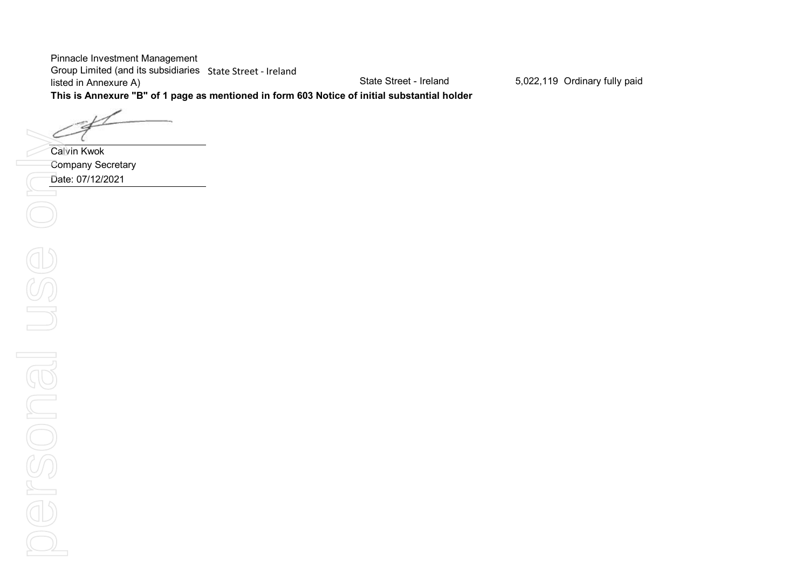Pinnacle Investment Management Group Limited (and its subsidiaries State Street - Ireland listed in Annexure A)

State Street - Ireland 5,022,119 Ordinary fully paid

**This is Annexure "B" of 1 page as mentioned in form 603 Notice of initial substantial holder**

Calvin Kwok Company Secretary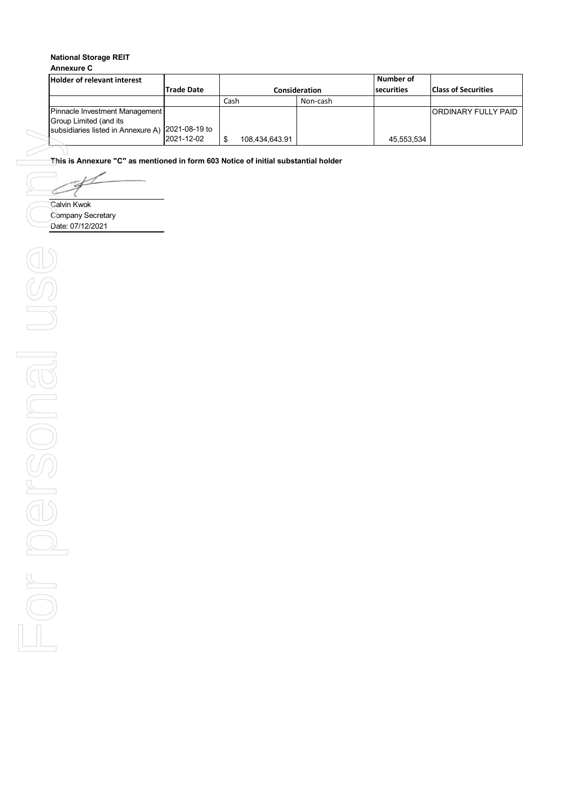## **Annexure C**

| Holder of relevant interest                              |            |                |               | l Number of       |                             |
|----------------------------------------------------------|------------|----------------|---------------|-------------------|-----------------------------|
|                                                          | Trade Date |                | Consideration | <b>securities</b> | <b>Class of Securities</b>  |
|                                                          |            | Cash           | Non-cash      |                   |                             |
| Pinnacle Investment Management<br>Group Limited (and its |            |                |               |                   | <b>IORDINARY FULLY PAID</b> |
| subsidiaries listed in Annexure A) 2021-08-19 to         | 2021-12-02 | 108.434.643.91 |               | 45,553,534        |                             |

**This is Annexure "C" as mentioned in form 603 Notice of initial substantial holder**

८

Calvin Kwok Company Secretary Date: 07/12/2021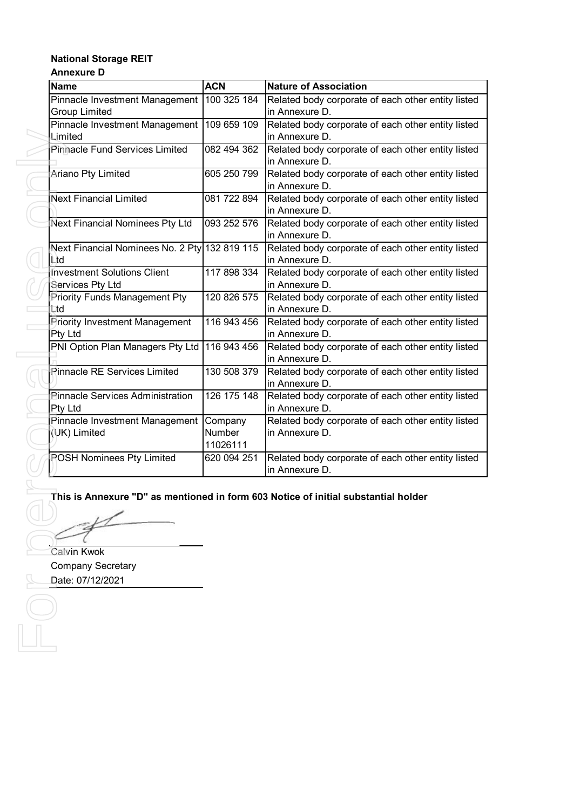## **National Storage REIT Annexure D**

| <b>Name</b>                                   | <b>ACN</b>  | <b>Nature of Association</b>                       |
|-----------------------------------------------|-------------|----------------------------------------------------|
| Pinnacle Investment Management                | 100 325 184 | Related body corporate of each other entity listed |
| <b>Group Limited</b>                          |             | in Annexure D.                                     |
| <b>Pinnacle Investment Management</b>         | 109 659 109 | Related body corporate of each other entity listed |
| Limited                                       |             | in Annexure D.                                     |
| <b>Pinnacle Fund Services Limited</b>         | 082 494 362 | Related body corporate of each other entity listed |
|                                               |             | in Annexure D.                                     |
| Ariano Pty Limited                            | 605 250 799 | Related body corporate of each other entity listed |
|                                               |             | in Annexure D.                                     |
| <b>Next Financial Limited</b>                 | 081 722 894 | Related body corporate of each other entity listed |
|                                               |             | in Annexure D.                                     |
| Next Financial Nominees Pty Ltd               | 093 252 576 | Related body corporate of each other entity listed |
|                                               |             | in Annexure D.                                     |
| Next Financial Nominees No. 2 Pty 132 819 115 |             | Related body corporate of each other entity listed |
| Ltd                                           |             | in Annexure D.                                     |
| Investment Solutions Client                   | 117 898 334 | Related body corporate of each other entity listed |
| Services Pty Ltd                              |             | in Annexure D.                                     |
| <b>Priority Funds Management Pty</b>          | 120 826 575 | Related body corporate of each other entity listed |
| Ltd                                           |             | in Annexure D.                                     |
| <b>Priority Investment Management</b>         | 116 943 456 | Related body corporate of each other entity listed |
| Pty Ltd                                       |             | in Annexure D.                                     |
| PNI Option Plan Managers Pty Ltd              | 116 943 456 | Related body corporate of each other entity listed |
|                                               |             | in Annexure D.                                     |
| <b>Pinnacle RE Services Limited</b>           | 130 508 379 | Related body corporate of each other entity listed |
|                                               |             | in Annexure D.                                     |
| <b>Pinnacle Services Administration</b>       | 126 175 148 | Related body corporate of each other entity listed |
| Pty Ltd                                       |             | in Annexure D.                                     |
| Pinnacle Investment Management                | Company     | Related body corporate of each other entity listed |
| (UK) Limited                                  | Number      | in Annexure D.                                     |
|                                               | 11026111    |                                                    |
| <b>POSH Nominees Pty Limited</b>              | 620 094 251 | Related body corporate of each other entity listed |
|                                               |             | in Annexure D.                                     |

# **This is Annexure "D" as mentioned in form 603 Notice of initial substantial holder**